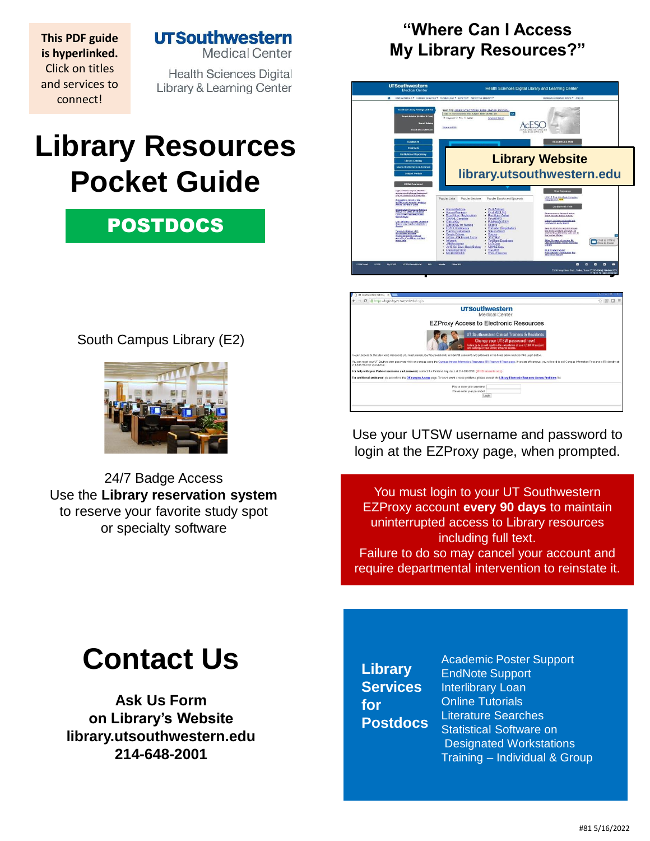**UTSouthwestern Medical Center** 

**This PDF guide is hyperlinked.**  Click on titles and services to connect!

**Health Sciences Digital** Library & Learning Center

# **Library Resources Pocket Guide**

## POSTDOCS

South Campus Library (E2)



24/7 Badge Access Use the **[Library reservation system](https://library.utsouthwestern.edu/main/libreserve.aspx)**  to reserve your favorite study spot or specialty so[ftware](http://library.utsouthwestern.edu/links/linkUsage.cfm?linkID=7124)

## **"Where Can I Access My Library Resources?"**



Use your UTSW username and password to login at the EZProxy page, when prompted.

You must login to your UT Southwestern EZProxy account **every 90 days** to maintain uninterrupted access to Library resources including full text. Failure to do so may cancel your account and require departmental intervention to reinstate it.

# **Contact Us**

**[Ask Us Form](http://library.utsouthwestern.edu/main/portals/jpull2.aspx?6385) on Library's Website [library.utsouthwestern.edu](http://library.utsouthwestern.edu/) 214-648-2001**

**Library Services for Postdocs**

[Academic Poster Support](http://library.utsouthwestern.edu/main/portals/jpull2.aspx?8444) [EndNote Support](http://library.utsouthwestern.edu/main/portals/jpull2.aspx?3246) [Interlibrary Loan](http://library.utsouthwestern.edu/main/portals/jpull2.aspx?1876) [Online Tutorials](http://library.utsouthwestern.edu/main/portals/jpull2.aspx?3896) [Literature Searches](http://library.utsouthwestern.edu/main/portals/jpull2.aspx?3334) Statistical Software on [Designated Workstations](http://library.utsouthwestern.edu/main/portals/jpull2.aspx?6390)  Training – [Individual & Group](http://library.utsouthwestern.edu/main/portals/jpull2.aspx?2755)